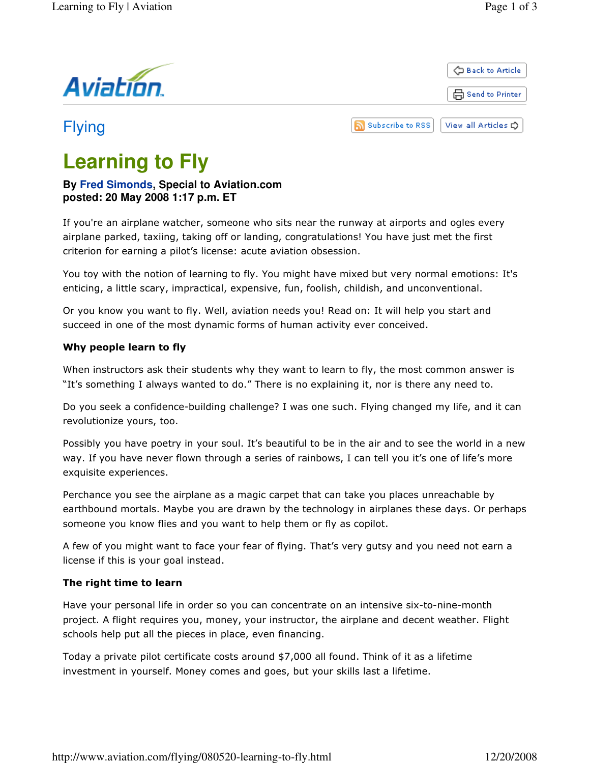

品 Send to Printer

← Back to Article

# Flying

R) **Subscribe to RSS** View all Articles C

# **Learning to Fly**

### **By Fred Simonds, Special to Aviation.com posted: 20 May 2008 1:17 p.m. ET**

If you're an airplane watcher, someone who sits near the runway at airports and ogles every airplane parked, taxiing, taking off or landing, congratulations! You have just met the first criterion for earning a pilot's license: acute aviation obsession.

You toy with the notion of learning to fly. You might have mixed but very normal emotions: It's enticing, a little scary, impractical, expensive, fun, foolish, childish, and unconventional.

Or you know you want to fly. Well, aviation needs you! Read on: It will help you start and succeed in one of the most dynamic forms of human activity ever conceived.

### Why people learn to fly

When instructors ask their students why they want to learn to fly, the most common answer is "It's something I always wanted to do." There is no explaining it, nor is there any need to.

Do you seek a confidence-building challenge? I was one such. Flying changed my life, and it can revolutionize yours, too.

Possibly you have poetry in your soul. It's beautiful to be in the air and to see the world in a new way. If you have never flown through a series of rainbows, I can tell you it's one of life's more exquisite experiences.

Perchance you see the airplane as a magic carpet that can take you places unreachable by earthbound mortals. Maybe you are drawn by the technology in airplanes these days. Or perhaps someone you know flies and you want to help them or fly as copilot.

A few of you might want to face your fear of flying. That's very gutsy and you need not earn a license if this is your goal instead.

## The right time to learn

Have your personal life in order so you can concentrate on an intensive six-to-nine-month project. A flight requires you, money, your instructor, the airplane and decent weather. Flight schools help put all the pieces in place, even financing.

Today a private pilot certificate costs around \$7,000 all found. Think of it as a lifetime investment in yourself. Money comes and goes, but your skills last a lifetime.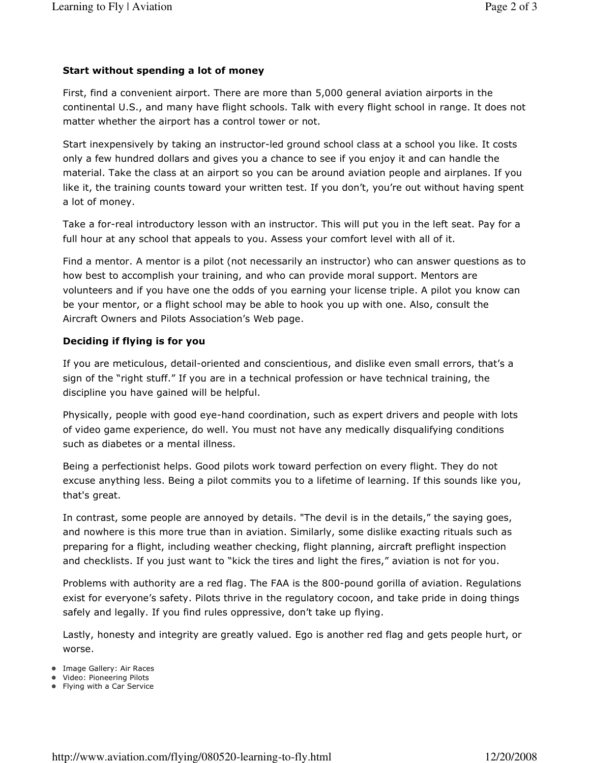#### Start without spending a lot of money

First, find a convenient airport. There are more than 5,000 general aviation airports in the continental U.S., and many have flight schools. Talk with every flight school in range. It does not matter whether the airport has a control tower or not.

Start inexpensively by taking an instructor-led ground school class at a school you like. It costs only a few hundred dollars and gives you a chance to see if you enjoy it and can handle the material. Take the class at an airport so you can be around aviation people and airplanes. If you like it, the training counts toward your written test. If you don't, you're out without having spent a lot of money.

Take a for-real introductory lesson with an instructor. This will put you in the left seat. Pay for a full hour at any school that appeals to you. Assess your comfort level with all of it.

Find a mentor. A mentor is a pilot (not necessarily an instructor) who can answer questions as to how best to accomplish your training, and who can provide moral support. Mentors are volunteers and if you have one the odds of you earning your license triple. A pilot you know can be your mentor, or a flight school may be able to hook you up with one. Also, consult the Aircraft Owners and Pilots Association's Web page.

#### Deciding if flying is for you

If you are meticulous, detail-oriented and conscientious, and dislike even small errors, that's a sign of the "right stuff." If you are in a technical profession or have technical training, the discipline you have gained will be helpful.

Physically, people with good eye-hand coordination, such as expert drivers and people with lots of video game experience, do well. You must not have any medically disqualifying conditions such as diabetes or a mental illness.

Being a perfectionist helps. Good pilots work toward perfection on every flight. They do not excuse anything less. Being a pilot commits you to a lifetime of learning. If this sounds like you, that's great.

In contrast, some people are annoyed by details. "The devil is in the details," the saying goes, and nowhere is this more true than in aviation. Similarly, some dislike exacting rituals such as preparing for a flight, including weather checking, flight planning, aircraft preflight inspection and checklists. If you just want to "kick the tires and light the fires," aviation is not for you.

Problems with authority are a red flag. The FAA is the 800-pound gorilla of aviation. Regulations exist for everyone's safety. Pilots thrive in the regulatory cocoon, and take pride in doing things safely and legally. If you find rules oppressive, don't take up flying.

Lastly, honesty and integrity are greatly valued. Ego is another red flag and gets people hurt, or worse.

- Image Gallery: Air Races
- Video: Pioneering Pilots
- Flying with a Car Service